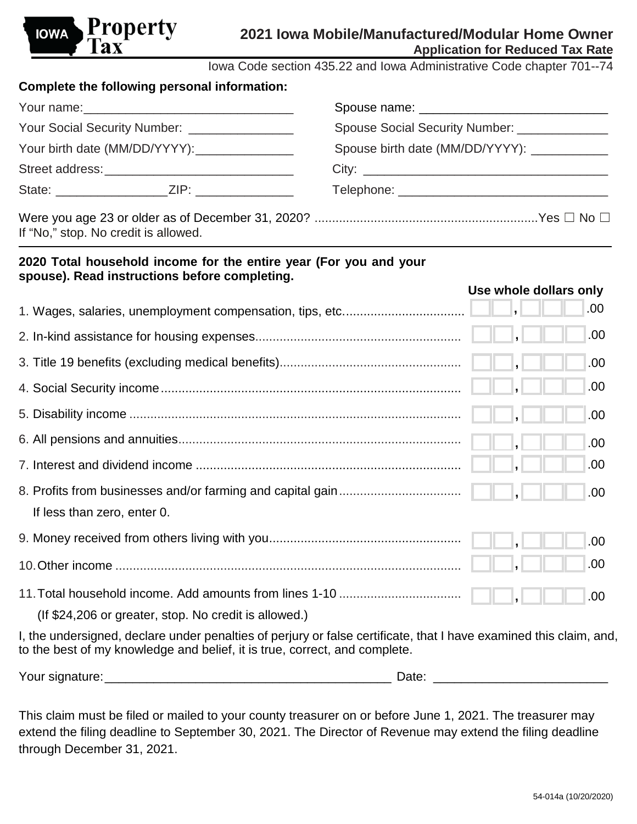

Iowa Code section 435.22 and Iowa Administrative Code chapter 701--74

| Complete the following personal information:              |                                              |  |
|-----------------------------------------------------------|----------------------------------------------|--|
|                                                           |                                              |  |
| Your Social Security Number: ________________             | Spouse Social Security Number: _____________ |  |
| Your birth date (MM/DD/YYYY):                             | Spouse birth date (MM/DD/YYYY): ___________  |  |
|                                                           |                                              |  |
| State: _________________________ZIP: ____________________ |                                              |  |
|                                                           |                                              |  |

Were you age 23 or older as of December 31, 2020? ................................................................Yes ☐ No ☐ If "No," stop. No credit is allowed.

## **2020 Total household income for the entire year (For you and your spouse). Read instructions before completing.**

|                                                                                                                   | .00  |
|-------------------------------------------------------------------------------------------------------------------|------|
|                                                                                                                   | .00. |
|                                                                                                                   | .00. |
|                                                                                                                   | .00. |
|                                                                                                                   | .00. |
|                                                                                                                   | .00. |
|                                                                                                                   | .00. |
|                                                                                                                   | .00. |
| If less than zero, enter 0.                                                                                       |      |
|                                                                                                                   | .00. |
|                                                                                                                   | .00. |
|                                                                                                                   | .00. |
| (If \$24,206 or greater, stop. No credit is allowed.)                                                             |      |
| I, the undersigned, declare under penalties of perjury or false certificate, that I have examined this claim, and |      |

I, the undersigned, declare under penalties of perjury or false certificate, that I have examined this claim, and, to the best of my knowledge and belief, it is true, correct, and complete.

| Your signatu<br>. signature: | $-1$<br>.<br>้นเข |
|------------------------------|-------------------|
|------------------------------|-------------------|

This claim must be filed or mailed to your county treasurer on or before June 1, 2021. The treasurer may extend the filing deadline to September 30, 2021. The Director of Revenue may extend the filing deadline through December 31, 2021.

**Use whole dollars only**